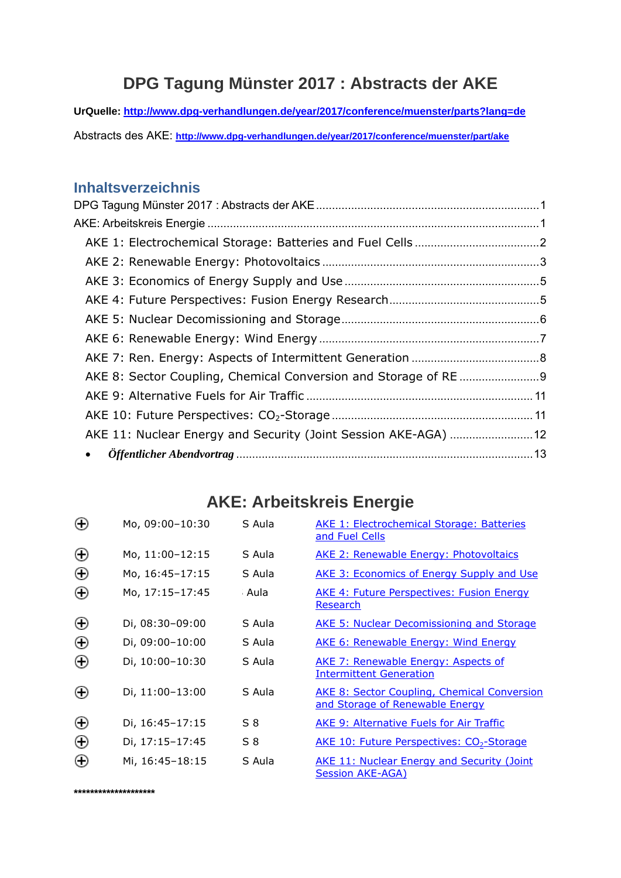# **DPG Tagung Münster 2017 : Abstracts der AKE**

<span id="page-0-0"></span>**UrQuelle: <http://www.dpg-verhandlungen.de/year/2017/conference/muenster/parts?lang=de>** 

Abstracts des AKE: **<http://www.dpg-verhandlungen.de/year/2017/conference/muenster/part/ake>** 

## **Inhaltsverzeichnis**

| AKE 11: Nuclear Energy and Security (Joint Session AKE-AGA)  12 |  |
|-----------------------------------------------------------------|--|
| $\bullet$                                                       |  |
|                                                                 |  |

# **AKE: Arbeitskreis Energie**

| Θ | Mo, 09:00-10:30 | S Aula | <b>AKE 1: Electrochemical Storage: Batteries</b><br>and Fuel Cells                    |
|---|-----------------|--------|---------------------------------------------------------------------------------------|
| Θ | Mo, 11:00-12:15 | S Aula | <b>AKE 2: Renewable Energy: Photovoltaics</b>                                         |
| Θ | Mo, 16:45-17:15 | S Aula | <b>AKE 3: Economics of Energy Supply and Use</b>                                      |
| Θ | Mo, 17:15-17:45 | : Aula | <b>AKE 4: Future Perspectives: Fusion Energy</b><br>Research                          |
| Θ | Di, 08:30-09:00 | S Aula | <b>AKE 5: Nuclear Decomissioning and Storage</b>                                      |
| Θ | Di, 09:00-10:00 | S Aula | <b>AKE 6: Renewable Energy: Wind Energy</b>                                           |
| Θ | Di, 10:00-10:30 | S Aula | AKE 7: Renewable Energy: Aspects of<br><b>Intermittent Generation</b>                 |
| Θ | Di, 11:00-13:00 | S Aula | <b>AKE 8: Sector Coupling, Chemical Conversion</b><br>and Storage of Renewable Energy |
| Θ | Di, 16:45-17:15 | S 8    | <b>AKE 9: Alternative Fuels for Air Traffic</b>                                       |
| Θ | Di, 17:15-17:45 | $S_8$  | <b>AKE 10: Future Perspectives: CO<sub>2</sub>-Storage</b>                            |
| Θ | Mi, 16:45-18:15 | S Aula | <b>AKE 11: Nuclear Energy and Security (Joint</b><br>Session AKE-AGA)                 |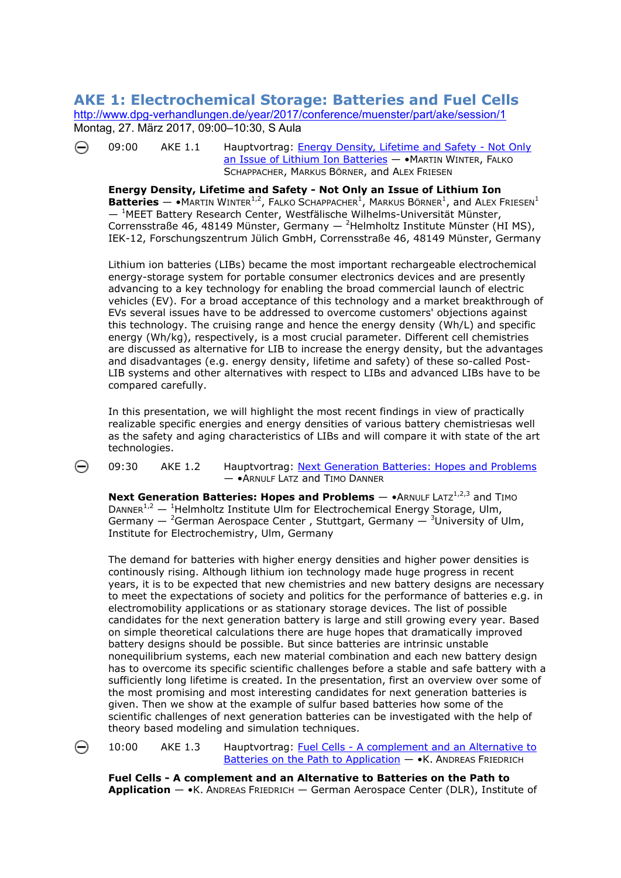#### <span id="page-1-0"></span>**AKE 1: Electrochemical Storage: Batteries and Fuel Cells**  <http://www.dpg-verhandlungen.de/year/2017/conference/muenster/part/ake/session/1> [Mo](http://www.dpg-verhandlungen.de/year/2017/conference/muenster/part/ake/session/1/contribution/1)ntag, 27. März 2017, 09:00–10:30, S Aula

⊖ 09:00 AKE 1.1 Hauptvortrag: **Energy Density, Lifetime and Safety - Not Only** [an Issue of Lithium Ion Batteries](http://www.dpg-verhandlungen.de/year/2017/conference/muenster/part/ake/session/1/contribution/1) - • MARTIN WINTER, FALKO SCHAPPACHER, MARKUS BÖRNER, and ALEX FRIESEN

**Energy Density, Lifetime and Safety - Not Only an Issue of Lithium Ion Batteries**  $-$  • MARTIN WINTER<sup>1,2</sup>, FALKO SCHAPPACHER<sup>1</sup>, MARKUS BÖRNER<sup>1</sup>, and ALEX FRIESEN<sup>1</sup>  $-$ <sup>1</sup>MEET Battery Research Center, Westfälische Wilhelms-Universität Münster, Corrensstraße 46, 48149 Münster, Germany  $-$  <sup>2</sup>Helmholtz Institute Münster (HI MS), IEK-12, Forschungszentrum Jülich GmbH, Corrensstraße 46, 48149 Münster, Germany

Lithium ion batteries (LIBs) became the most important rechargeable electrochemical energy-storage system for portable consumer electronics devices and are presently advancing to a key technology for enabling the broad commercial launch of electric vehicles (EV). For a broad acceptance of this technology and a market breakthrough of EVs several issues have to be addressed to overcome customers' objections against this technology. The cruising range and hence the energy density (Wh/L) and specific energy (Wh/kg), respectively, is a most crucial parameter. Different cell chemistries are discussed as alternative for LIB to increase the energy density, but the advantages and disadvantages (e.g. energy density, lifetime and safety) of these so-called Post-LIB systems and other alternatives with respect to LIBs and advanced LIBs have to be compared carefully.

In this presentation, we will highlight the most recent findings in view of practically realizable specific energies and energy densities of various battery chemistriesas well as the safety and aging characteristics of LIBs and will compare it with state of the art technologies.

⊝

09:30 AKE 1.2 Hauptvortrag: [Next Generation Batteries: Hopes and Problems](http://www.dpg-verhandlungen.de/year/2017/conference/muenster/part/ake/session/1/contribution/2) — •ARNULF LATZ and TIMO DANNER

**Next Generation Batteries: Hopes and Problems — •**ARNULF LATZ<sup>1,2,3</sup> and TIMO DANNER<sup>1,2</sup>  $-$  <sup>1</sup>Helmholtz Institute Ulm for Electrochemical Energy Storage, Ulm, Germany  $-$  <sup>2</sup>German Aerospace Center, Stuttgart, Germany  $-$  <sup>3</sup>University of Ulm, Institute for Electrochemistry, Ulm, Germany

The demand for batteries with higher energy densities and higher power densities is continously rising. Although lithium ion technology made huge progress in recent years, it is to be expected that new chemistries and new battery designs are necess ary to meet the expectations of society and politics for the performance of batteries e.g. i n electromobility applications or as stationary storage devices. The list of possible candidates for the next generation battery is large and still growing every year. Based on simple theoretical calculations there are huge hopes that dramatically improved battery designs should be possible. But since batteries are intrinsic unstable nonequilibrium systems, each new material combination and each new battery design has to overcome its specific scientific challenges before a stable and safe battery with a sufficiently long lifetime is created. In the presentation, first an overview over some of the most promising and most interesting candidates for next generation batteries is given. Then we show at the example of sulfur based batteries how some of the scientific challenges of next generation batteries can be investigated with the help of theory based modeling and simulation techniques.

10:00 AKE 1.3 Hauptvortrag: [Fuel Cells - A complement and an Alternative to](http://www.dpg-verhandlungen.de/year/2017/conference/muenster/part/ake/session/1/contribution/3)  [Batteries on the Path to Application](http://www.dpg-verhandlungen.de/year/2017/conference/muenster/part/ake/session/1/contribution/3) — •K. ANDREAS FRIEDRICH

**Fuel Cells - A complement and an Alternative to Batteries on the Path to Application** — •K. ANDREAS FRIEDRICH — German Aerospace Center (DLR), Institute of

⊖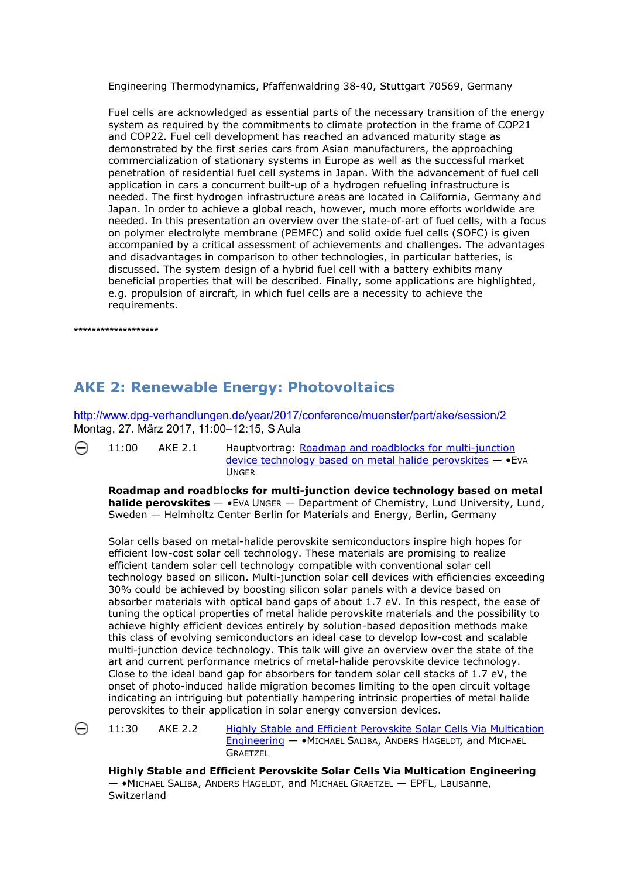<span id="page-2-0"></span>Engineering Thermodynamics, Pfaffenwaldring 38-40, Stuttgart 70569, Germany

Fuel cells are acknowledged as essential parts of the necessary transition of the energy system as required by the commitments to climate protection in the frame of COP21 and COP22. Fuel cell development has reached an advanced maturity stage as demonstrated by the first series cars from Asian manufacturers, the approaching commercialization of stationary systems in Europe as well as the successful market penetration of residential fuel cell systems in Japan. With the advancement of fuel cell application in cars a concurrent built-up of a hydrogen refueling infrastructure is needed. The first hydrogen infrastructure areas are located in California, Germany and Japan. In order to achieve a global reach, however, much more efforts worldwide are needed. In this presentation an overview over the state-of-art of fuel cells, with a focus on polymer electrolyte membrane (PEMFC) and solid oxide fuel cells (SOFC) is given accompanied by a critical assessment of achievements and challenges. The advantages and disadvantages in comparison to other technologies, in particular batteries, is discussed. The system design of a hybrid fuel cell with a battery exhibits many beneficial properties that will be described. Finally, some applications are highlighted, e.g. propulsion of aircraft, in which fuel cells are a necessity to achieve the requirements.

\*\*\*\*\*\*\*\*\*\*\*\*\*\*\*\*\*\*\*

# **AKE 2: Renewable Energy: Photovoltaics**

<http://www.dpg-verhandlungen.de/year/2017/conference/muenster/part/ake/session/2> Montag, 27. März 2017, 11:00–12:15, S Aula

⊖

11:00 AKE 2.1 Hauptvortrag: [Roadmap and roadblocks for multi-junction](http://www.dpg-verhandlungen.de/year/2017/conference/muenster/part/ake/session/2/contribution/1)  [device technology based on metal halide perovskites](http://www.dpg-verhandlungen.de/year/2017/conference/muenster/part/ake/session/2/contribution/1) — •EVA UNGER

**Roadmap and roadblocks for multi-junction device technology based on metal halide perovskites**  $-$  •EVA UNGER  $-$  Department of Chemistry, Lund University, Lund, Sweden — Helmholtz Center Berlin for Materials and Energy, Berlin, Germany

Solar cells based on metal-halide perovskite semiconductors inspire high hopes for efficient low-cost solar cell technology. These materials are promising to realize efficient tandem solar cell technology compatible with conventional solar cell technology based on silicon. Multi-junction solar cell devices with efficiencies exceeding 30% could be achieved by boosting silicon solar panels with a device based on absorber materials with optical band gaps of about 1.7 eV. In this respect, the ease of tuning the optical properties of metal halide perovskite materials and the possibility to achieve highly efficient devices entirely by solution-based deposition methods make this class of evolving semiconductors an ideal case to develop low-cost and scalable multi-junction device technology. This talk will give an overview over the state of the art and current performance metrics of metal-halide perovskite device technology. Close to the ideal band gap for absorbers for tandem solar cell stacks of 1.7 eV, the onset of photo-induced halide migration becomes limiting to the open circuit voltage indicating an intriguing but potentially hampering intrinsic properties of metal halide perovskites to their application in solar energy conversion devices.

⊖

11:30 AKE 2.2 [Highly Stable and Efficient Perovskite Solar Cells Via Multication](http://www.dpg-verhandlungen.de/year/2017/conference/muenster/part/ake/session/2/contribution/2)  [Engineering](http://www.dpg-verhandlungen.de/year/2017/conference/muenster/part/ake/session/2/contribution/2) — •MICHAEL SALIBA, ANDERS HAGELDT, and MICHAEL **GRAFTZEL** 

**Highly Stable and Efficient Perovskite Solar Cells Via Multication Engineering** — •MICHAEL SALIBA, ANDERS HAGELDT, and MICHAEL GRAETZEL — EPFL, Lausanne, Switzerland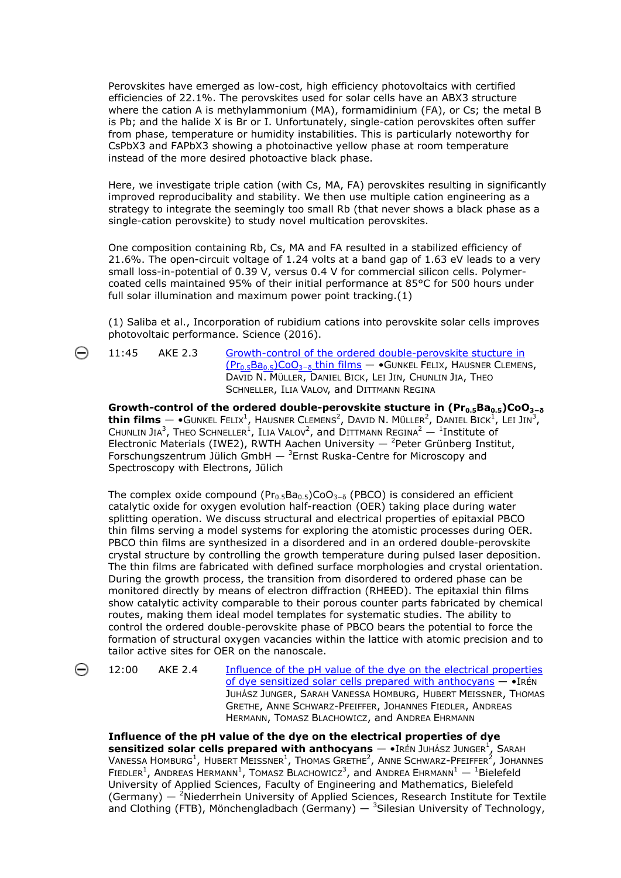Perovskites have emerged as low-cost, high efficiency photovoltaics with certified efficiencies of 22.1%. The perovskites used for solar cells have an ABX3 structure where the cation A is methylammonium (MA), formamidinium (FA), or Cs; the metal B is Pb; and the halide X is Br or I. Unfortunately, single-cation perovskites often suffer from phase, temperature or humidity instabilities. This is particularly noteworthy for CsPbX3 and FAPbX3 showing a photoinactive yellow phase at room temperature instead of the more desired photoactive black phase.

Here, we investigate triple cation (with Cs, MA, FA) perovskites resulting in significantly improved reproducibality and stability. We then use multiple cation engineering as a strategy to integrate the seemingly too small Rb (that never shows a black phase as a single-cation perovskite) to study novel multication perovskites.

One composition containing Rb, Cs, MA and FA resulted in a stabilized efficiency of 21.6%. The open-circuit voltage of 1.24 volts at a band gap of 1.63 eV leads to a very small loss-in-potential of 0.39 V, versus 0.4 V for commercial silicon cells. Polymercoated cells maintained 95% of their initial performance at 85°C for 500 hours under full solar illumination and maximum power point tracking.(1)

(1) Saliba et al., Incorporation of rubidium cations into perovskite solar cells improves photovoltaic performance. Science (2016).

11:45 AKE 2.3 Growth-control of the ordered double-perovskite stucture in [\(Pr0.5Ba0.5\)CoO3](http://www.dpg-verhandlungen.de/year/2017/conference/muenster/part/ake/session/2/contribution/3)[−δ](http://www.dpg-verhandlungen.de/year/2017/conference/muenster/part/ake/session/2/contribution/3) [thin films](http://www.dpg-verhandlungen.de/year/2017/conference/muenster/part/ake/session/2/contribution/3) — •GUNKEL FELIX, HAUSNER CLEMENS, DAVID N. MÜLLER, DANIEL BICK, LEI JIN, CHUNLIN JIA, THEO SCHNELLER, ILIA VALOV, and DITTMANN REGINA

Growth-control of the ordered double-perovskite stucture in (Pr<sub>0.5</sub>Ba<sub>0.5</sub>)CoO<sub>3-δ</sub>  $\tanh$  films  $\bullet$ Gunkel Felix<sup>1</sup>, Hausner Clemens<sup>2</sup>, David N. Müller<sup>2</sup>, Daniel Bick<sup>1</sup>, Lei Jin<sup>3</sup>, CHUNLIN JIA<sup>3</sup>, THEO SCHNELLER<sup>1</sup>, ILIA VALOV<sup>2</sup>, and DITTMANN REGINA<sup>2</sup> — <sup>1</sup>Institute of Electronic Materials (IWE2), RWTH Aachen University  $-$  <sup>2</sup>Peter Grünberg Institut, Forschungszentrum Jülich GmbH  $-$  <sup>3</sup>Ernst Ruska-Centre for Microscopy and Spectroscopy with Electrons, Jülich

The complex oxide compound ( $Pr_0$ ,  $Ba_0$ ,  $SO_3$ <sub>−δ</sub> (PBCO) is considered an efficient catalytic oxide for oxygen evolution half-reaction (OER) taking place during water splitting operation. We discuss structural and electrical properties of epitaxial PBCO thin films serving a model systems for exploring the atomistic processes during OER. PBCO thin films are synthesized in a disordered and in an ordered double-perovskite crystal structure by controlling the growth temperature during pulsed laser deposition. The thin films are fabricated with defined surface morphologies and crystal orientation. During the growth process, the transition from disordered to ordered phase can be monitored directly by means of electron diffraction (RHEED). The epitaxial thin films show catalytic activity comparable to their porous counter parts fabricated by chemical routes, making them ideal model templates for systematic studies. The ability to control the ordered double-perovskite phase of PBCO bears the potential to force the formation of structural oxygen vacancies within the lattice with atomic precision and to tailor active sites for OER on the nanoscale.

⊝

12:00 AKE 2.4 [Influence of the pH value of the dye on the electrical properties](http://www.dpg-verhandlungen.de/year/2017/conference/muenster/part/ake/session/2/contribution/4)  [of dye sensitized solar cells prepared with anthocyans](http://www.dpg-verhandlungen.de/year/2017/conference/muenster/part/ake/session/2/contribution/4) — •IRÉN JUHÁSZ JUNGER, SARAH VANESSA HOMBURG, HUBERT MEISSNER, THOMAS GRETHE, ANNE SCHWARZ-PFEIFFER, JOHANNES FIEDLER, ANDREAS HERMANN, TOMASZ BLACHOWICZ, and ANDREA EHRMANN

**Influence of the pH value of the dye on the electrical properties of dye sensitized solar cells prepared with anthocyans — •IRÉN JUHÁSZ JUNGER<sup>1</sup>, SARAH** VANESSA HOMBURG<sup>1</sup>, HUBERT MEISSNER<sup>1</sup>, THOMAS GRETHE<sup>2</sup>, ANNE SCHWARZ-PFEIFFER<sup>2</sup>, JOHANNES FIEDLER<sup>1</sup>, ANDREAS HERMANN<sup>1</sup>, TOMASZ BLACHOWICZ<sup>3</sup>, and ANDREA EHRMANN<sup>1</sup> - <sup>1</sup>Bielefeld University of Applied Sciences, Faculty of Engineering and Mathematics, Bielefeld (Germany)  $-$  <sup>2</sup>Niederrhein University of Applied Sciences, Research Institute for Textile and Clothing (FTB), Mönchengladbach (Germany)  $-$  3Silesian University of Technology,

⊖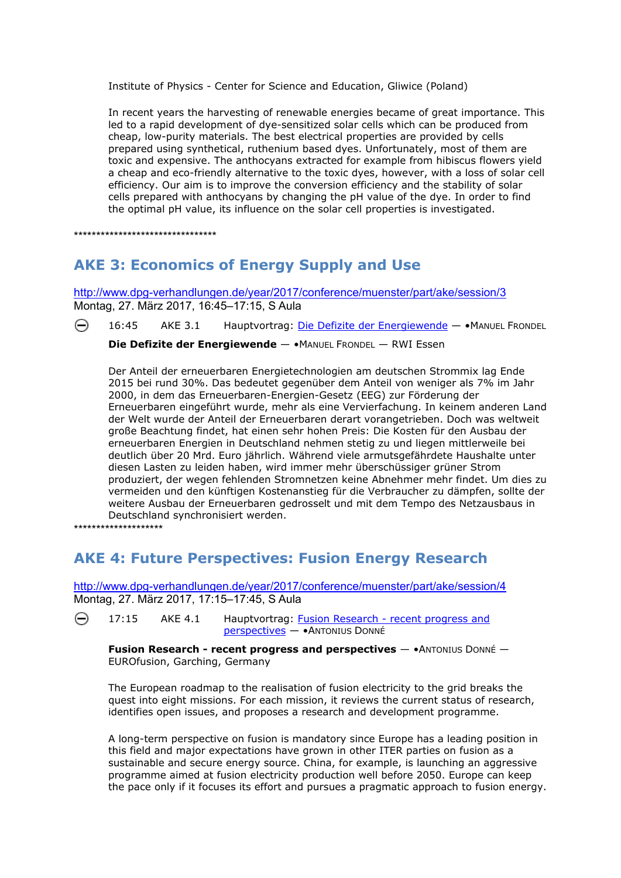<span id="page-4-0"></span>Institute of Physics - Center for Science and Education, Gliwice (Poland)

In recent years the harvesting of renewable energies became of great importance. This led to a rapid development of dye-sensitized solar cells which can be produced from cheap, low-purity materials. The best electrical properties are provided by cells prepared using synthetical, ruthenium based dyes. Unfortunately, most of them are toxic and expensive. The anthocyans extracted for example from hibiscus flowers yield a cheap and eco-friendly alternative to the toxic dyes, however, with a loss of solar cell efficiency. Our aim is to improve the conversion efficiency and the stability of solar cells prepared with anthocyans by changing the pH value of the dye. In order to find the optimal pH value, its influence on the solar cell properties is investigated.

\*\*\*\*\*\*\*\*\*\*\*\*\*\*\*\*\*\*\*\*\*\*\*\*\*\*\*\*\*\*\*\*

## **AKE 3: Economics of Energy Supply and Use**

<http://www.dpg-verhandlungen.de/year/2017/conference/muenster/part/ake/session/3> Montag, 27. März 2017, 16:45–17:15, S Aula

⊖ 16:45 AKE 3.1 Hauptvortrag: [Die Defizite der Energiewende](http://www.dpg-verhandlungen.de/year/2017/conference/muenster/part/ake/session/3/contribution/1) — •MANUEL FRONDEL

**Die Defizite der Energiewende** — •MANUEL FRONDEL — RWI Essen

Der Anteil der erneuerbaren Energietechnologien am deutschen Strommix lag Ende 2015 bei rund 30%. Das bedeutet gegenüber dem Anteil von weniger als 7% im Jahr 2000, in dem das Erneuerbaren-Energien-Gesetz (EEG) zur Förderung der Erneuerbaren eingeführt wurde, mehr als eine Vervierfachung. In keinem anderen Land der Welt wurde der Anteil der Erneuerbaren derart vorangetrieben. Doch was weltweit große Beachtung findet, hat einen sehr hohen Preis: Die Kosten für den Ausbau der erneuerbaren Energien in Deutschland nehmen stetig zu und liegen mittlerweile bei deutlich über 20 Mrd. Euro jährlich. Während viele armutsgefährdete Haushalte unter diesen Lasten zu leiden haben, wird immer mehr überschüssiger grüner Strom produziert, der wegen fehlenden Stromnetzen keine Abnehmer mehr findet. Um dies zu vermeiden und den künftigen Kostenanstieg für die Verbraucher zu dämpfen, sollte der weitere Ausbau der Erneuerbaren gedrosselt und mit dem Tempo des Netzausbaus in Deutschland synchronisiert werden.

\*\*\*\*\*\*\*\*\*\*\*\*\*\*\*\*\*\*\*\*

## **AKE 4: Future Perspectives: Fusion Energy Research**

<http://www.dpg-verhandlungen.de/year/2017/conference/muenster/part/ake/session/4> Montag, 27. März 2017, 17:15–17:45, S Aula

⊖ 17:15 AKE 4.1 Hauptvortrag: [Fusion Research - recent progress and](http://www.dpg-verhandlungen.de/year/2017/conference/muenster/part/ake/session/4/contribution/1)  [perspectives](http://www.dpg-verhandlungen.de/year/2017/conference/muenster/part/ake/session/4/contribution/1) — •ANTONIUS DONNÉ

**Fusion Research - recent progress and perspectives** — •ANTONIUS DONNÉ — EUROfusion, Garching, Germany

The European roadmap to the realisation of fusion electricity to the grid breaks the quest into eight missions. For each mission, it reviews the current status of research, identifies open issues, and proposes a research and development programme.

A long-term perspective on fusion is mandatory since Europe has a leading position in this field and major expectations have grown in other ITER parties on fusion as a sustainable and secure energy source. China, for example, is launching an aggressive programme aimed at fusion electricity production well before 2050. Europe can keep the pace only if it focuses its effort and pursues a pragmatic approach to fusion energy.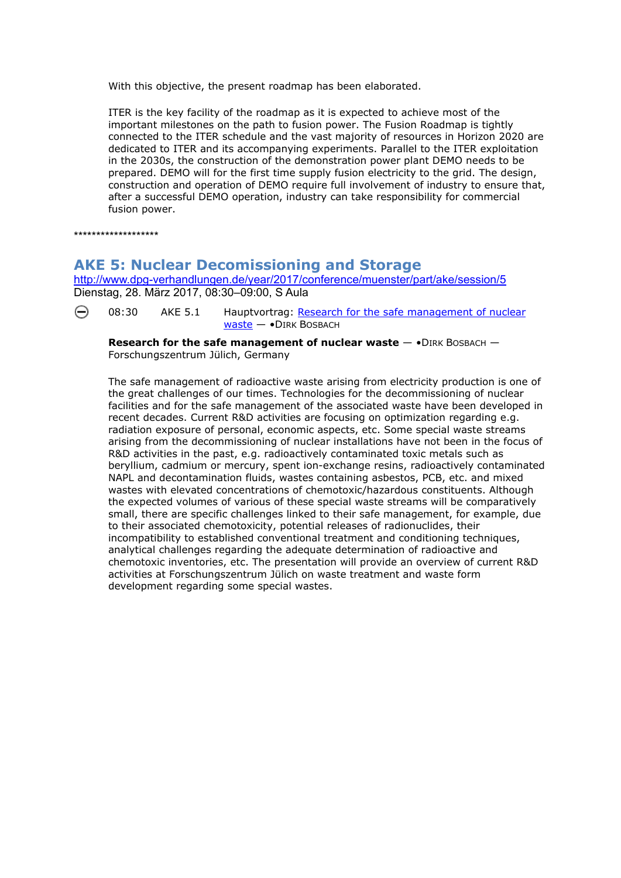<span id="page-5-0"></span>With this objective, the present roadmap has been elaborated.

ITER is the key facility of the roadmap as it is expected to achieve most of the important milestones on the path to fusion power. The Fusion Roadmap is tightly connected to the ITER schedule and the vast majority of resources in Horizon 2020 are dedicated to ITER and its accompanying experiments. Parallel to the ITER exploitation in the 2030s, the construction of the demonstration power plant DEMO needs to be prepared. DEMO will for the first time supply fusion electricity to the grid. The design, construction and operation of DEMO require full involvement of industry to ensure that, after a successful DEMO operation, industry can take responsibility for commercial fusion power.

\*\*\*\*\*\*\*\*\*\*\*\*\*\*\*\*\*\*\*

#### **AKE 5: Nuclear Decomissioning and Storage**

<http://www.dpg-verhandlungen.de/year/2017/conference/muenster/part/ake/session/5> Dienstag, 28. März 2017, 08:30–09:00, S Aula

⊖ 08:30 AKE 5.1 Hauptvortrag: Research for the safe management of nuclear [waste](http://www.dpg-verhandlungen.de/year/2017/conference/muenster/part/ake/session/5/contribution/1) — •DIRK BOSBACH

**Research for the safe management of nuclear waste**  $-$  **• DIRK BOSBACH**  $-$ Forschungszentrum Jülich, Germany

The safe management of radioactive waste arising from electricity production is one of the great challenges of our times. Technologies for the decommissioning of nuclear facilities and for the safe management of the associated waste have been developed in recent decades. Current R&D activities are focusing on optimization regarding e.g. radiation exposure of personal, economic aspects, etc. Some special waste streams arising from the decommissioning of nuclear installations have not been in the focus of R&D activities in the past, e.g. radioactively contaminated toxic metals such as beryllium, cadmium or mercury, spent ion-exchange resins, radioactively contaminated NAPL and decontamination fluids, wastes containing asbestos, PCB, etc. and mixed wastes with elevated concentrations of chemotoxic/hazardous constituents. Although the expected volumes of various of these special waste streams will be comparatively small, there are specific challenges linked to their safe management, for example, due to their associated chemotoxicity, potential releases of radionuclides, their incompatibility to established conventional treatment and conditioning techniques, analytical challenges regarding the adequate determination of radioactive and chemotoxic inventories, etc. The presentation will provide an overview of current R&D activities at Forschungszentrum Jülich on waste treatment and waste form development regarding some special wastes.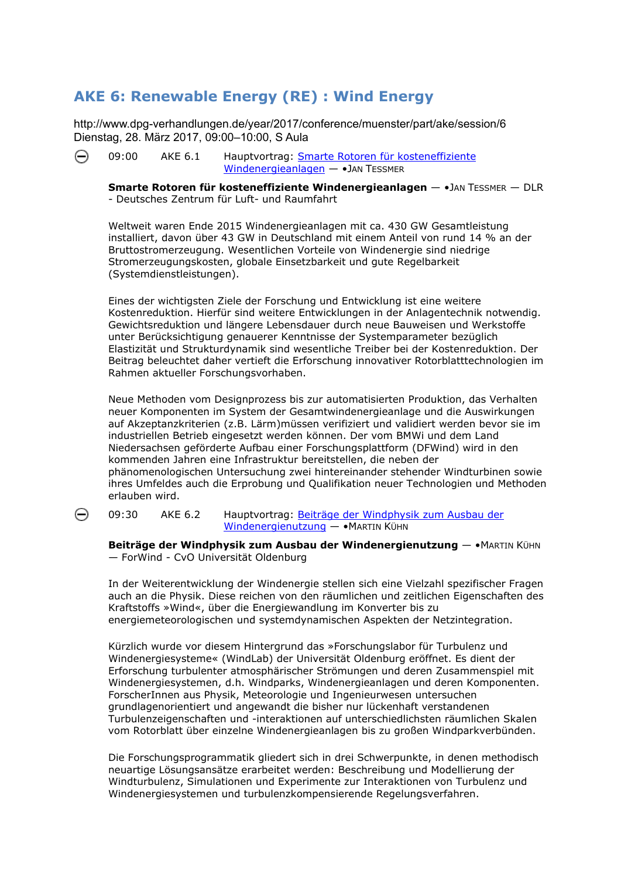## <span id="page-6-0"></span>**AKE 6: Renewable Energy (RE) : Wind Energy**

http://www.dpg-verhandlungen.de/year/2017/conference/muenster/part/ake/session/6 [Die](http://www.dpg-verhandlungen.de/year/2017/conference/muenster/part/ake/session/6/contribution/1)nstag, 28. März 2017, 09:00–10:00, S Aula

⊝ 09:00 AKE 6.1 Hauptvortrag: [Smarte Rotoren für kosteneffiziente](http://www.dpg-verhandlungen.de/year/2017/conference/muenster/part/ake/session/6/contribution/1)  [Windenergieanlagen](http://www.dpg-verhandlungen.de/year/2017/conference/muenster/part/ake/session/6/contribution/1) — •JAN TESSMER

**Smarte Rotoren für kosteneffiziente Windenergieanlagen** — •JAN TESSMER — DLR - Deutsches Zentrum für Luft- und Raumfahrt

Weltweit waren Ende 2015 Windenergieanlagen mit ca. 430 GW Gesamtleistung installiert, davon über 43 GW in Deutschland mit einem Anteil von rund 14 % an der Bruttostromerzeugung. Wesentlichen Vorteile von Windenergie sind niedrige Stromerzeugungskosten, globale Einsetzbarkeit und gute Regelbarkeit (Systemdienstleistungen).

Eines der wichtigsten Ziele der Forschung und Entwicklung ist eine weitere Kostenreduktion. Hierfür sind weitere Entwicklungen in der Anlagentechnik notwendig. Gewichtsreduktion und längere Lebensdauer durch neue Bauweisen und Werkstoffe unter Berücksichtigung genauerer Kenntnisse der Systemparameter bezüglich Elastizität und Strukturdynamik sind wesentliche Treiber bei der Kostenreduktion. Der Beitrag beleuchtet daher vertieft die Erforschung innovativer Rotorblatttechnologien im Rahmen aktueller Forschungsvorhaben.

Neue Methoden vom Designprozess bis zur automatisierten Produktion, das Verhalten neuer Komponenten im System der Gesamtwindenergieanlage und die Auswirkungen auf Akzeptanzkriterien (z.B. Lärm)müssen verifiziert und validiert werden bevor sie im industriellen Betrieb eingesetzt werden können. Der vom BMWi und dem Land Niedersachsen geförderte Aufbau einer Forschungsplattform (DFWind) wird in den kommenden Jahren eine Infrastruktur bereitstellen, die neben der phänomenologischen Untersuchung zwei hintereinander stehender Windturbinen sowie ihres Umfeldes auch die Erprobung und Qualifikation neuer Technologien und Methoden erlauben wird.

09:30 AKE 6.2 Hauptvortrag: Beiträge der Windphysik zum Ausbau der Windenergienutzung - • MARTIN KÜHN

⊖

**Beiträge der Windphysik zum Ausbau der Windenergienutzung** — •MARTIN KÜHN — ForWind - CvO Universität Oldenburg

auch an die Physik. Diese reichen von den räumlichen und zeitlichen Eigenschaften des energiemeteorologischen und systemdynamischen Aspekten der Netzintegration. In der Weiterentwicklung der Windenergie stellen sich eine Vielzahl spezifischer Fragen Kraftstoffs »Wind«, über die Energiewandlung im Konverter bis zu

Windenergiesystemen, d.h. Windparks, Windenergieanlagen und deren Komponenten. vom Rotorblatt über einzelne Windenergieanlagen bis zu großen Windparkverbünden. Kürzlich wurde vor diesem Hintergrund das »Forschungslabor für Turbulenz und Windenergiesysteme« (WindLab) der Universität Oldenburg eröffnet. Es dient der Erforschung turbulenter atmosphärischer Strömungen und deren Zusammenspiel mit ForscherInnen aus Physik, Meteorologie und Ingenieurwesen untersuchen grundlagenorientiert und angewandt die bisher nur lückenhaft verstandenen Turbulenzeigenschaften und -interaktionen auf unterschiedlichsten räumlichen Skalen

Die Forschungsprogrammatik gliedert sich in drei Schwerpunkte, in denen methodisch Windturbulenz, Simulationen und Experimente zur Interaktionen von Turbulenz und Windenergiesystemen und turbulenzkompensierende Regelungsverfahren. neuartige Lösungsansätze erarbeitet werden: Beschreibung und Modellierung der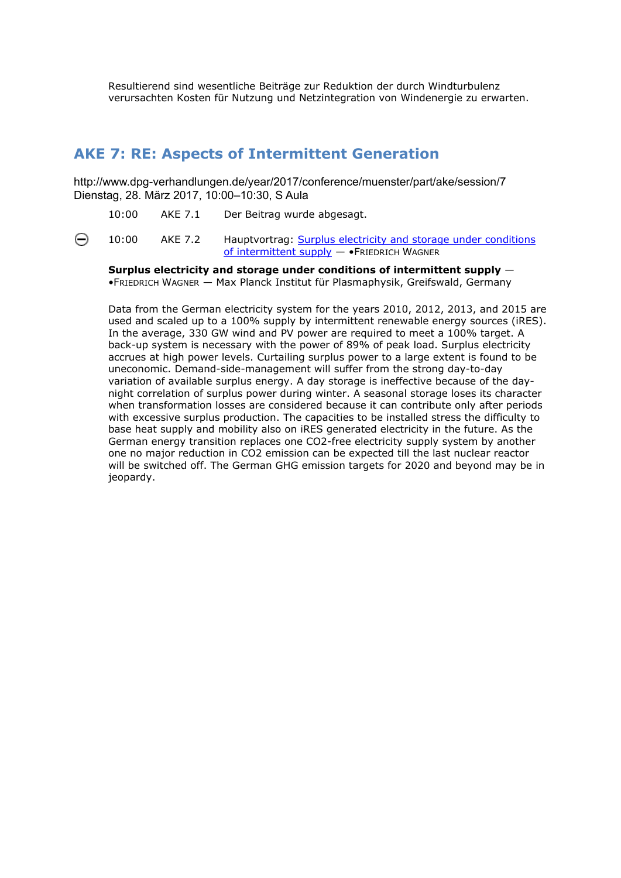<span id="page-7-0"></span>Resultierend sind wesentliche Beiträge zur Reduktion der durch Windturbulenz verursachten Kosten für Nutzung und Netzintegration von Windenergie zu erwarten.

#### **AKE 7: RE: Aspects of Intermittent Generation**

http://www.dpg-verhandlungen.de/year/2017/conference/muenster/part/ake/session/7 Dienstag, 28. März 2017, 10:00–10:30, S Aula

10:00 AKE 7.1 Der Beitrag wurde abgesagt.

⊖ 10:00 AKE 7.2 Hauptvortrag: Surplus electricity and storage under conditions of intermittent supply — •FRIEDRICH WAGNER

**Surplus electricity and storage under conditions of intermittent supply** — •FRIEDRICH WAGNER — Max Planck Institut für Plasmaphysik, Greifswald, Germany

used and scaled up to a 100% supply by intermittent renewable energy sources (iRES). accrues at high power levels. Curtailing surplus power to a large extent is found to be will be switched off. The German GHG emission targets for 2020 and beyond may be in Data from the German electricity system for the years 2010, 2012, 2013, and 2015 are In the average, 330 GW wind and PV power are required to meet a 100% target. A back-up system is necessary with the power of 89% of peak load. Surplus electricity uneconomic. Demand-side-management will suffer from the strong day-to-day variation of available surplus energy. A day storage is ineffective because of the daynight correlation of surplus power during winter. A seasonal storage loses its character when transformation losses are considered because it can contribute only after periods with excessive surplus production. The capacities to be installed stress the difficulty to base heat supply and mobility also on iRES generated electricity in the future. As the German energy transition replaces one CO2-free electricity supply system by another one no major reduction in CO2 emission can be expected till the last nuclear reactor jeopardy.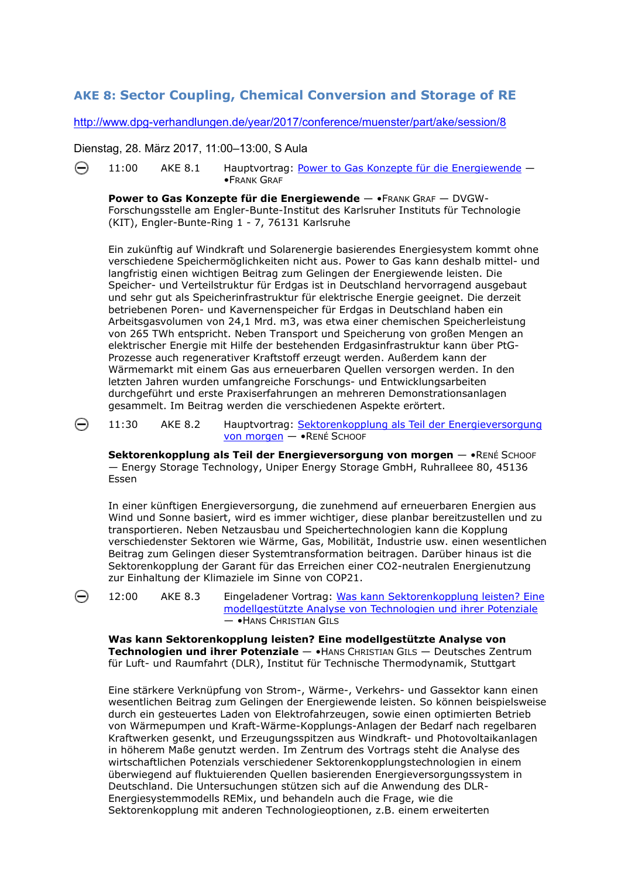#### <span id="page-8-0"></span>**AKE 8: Sector Coupling, Chemical Conversion and Storage of RE**

<http://www.dpg-verhandlungen.de/year/2017/conference/muenster/part/ake/session/8>

[Die](http://www.dpg-verhandlungen.de/year/2017/conference/muenster/part/ake/session/8/contribution/1)nstag, 28. März 2017, 11:00–13:00, S Aula

⊝

⊖

⊝ 11:00 AKE 8.1 Hauptvortrag: [Power to Gas Konzepte für die Energiewende](http://www.dpg-verhandlungen.de/year/2017/conference/muenster/part/ake/session/8/contribution/1) — •FRANK GRAF

**Power to Gas Konzepte für die Energiewende** — •FRANK GRAF — DVGW-Forschungsstelle am Engler-Bunte-Institut des Karlsruher Instituts für Technologie (KIT), Engler-Bunte-Ring 1 - 7, 76131 Karlsruhe

Ein zukünftig auf Windkraft und Solarenergie basierendes Energiesystem kommt ohne verschiedene Speichermöglichkeiten nicht aus. Power to Gas kann deshalb mittel- und langfristig einen wichtigen Beitrag zum Gelingen der Energiewende leisten. Die Speicher- und Verteilstruktur für Erdgas ist in Deutschland hervorragend ausgebaut und sehr gut als Speicherinfrastruktur für elektrische Energie geeignet. Die derzeit betriebenen Poren- und Kavernenspeicher für Erdgas in Deutschland haben ein Arbeitsgasvolumen von 24,1 Mrd. m3, was etwa einer chemischen Speicherleistung von 265 TWh entspricht. Neben Transport und Speicherung von großen Mengen an elektrischer Energie mit Hilfe der bestehenden Erdgasinfrastruktur kann über PtG-Prozesse auch regenerativer Kraftstoff erzeugt werden. Außerdem kann der Wärmemarkt mit einem Gas aus erneuerbaren Quellen versorgen werden. In den letzten Jahren wurden umfangreiche Forschungs- und Entwicklungsarbeiten durchgeführt und erste Praxiserfahrungen an mehreren Demonstrationsanlagen gesammelt. Im Beitrag werden die verschiedenen Aspekte erörtert.

11:30 AKE 8.2 Hauptvortrag: [Sektorenkopplung als Teil der Energieversorgung](http://www.dpg-verhandlungen.de/year/2017/conference/muenster/part/ake/session/8/contribution/2)  [von morgen](http://www.dpg-verhandlungen.de/year/2017/conference/muenster/part/ake/session/8/contribution/2) — •RENÉ SCHOOF

**Sektorenkopplung als Teil der Energieversorgung von morgen** — •RENÉ SCHOOF — Energy Storage Technology, Uniper Energy Storage GmbH, Ruhralleee 80, 45136 Essen

In einer künftigen Energieversorgung, die zunehmend auf erneuerbaren Energien aus Wind und Sonne basiert, wird es immer wichtiger, diese planbar bereitzustellen und zu transportieren. Neben Netzausbau und Speichertechnologien kann die Kopplung verschiedenster Sektoren wie Wärme, Gas, Mobilität, Industrie usw. einen wesentlichen Beitrag zum Gelingen dieser Systemtransformation beitragen. Darüber hinaus ist die Sektorenkopplung der Garant für das Erreichen einer CO2-neutralen Energienutzung zur Einhaltung der Klimaziele im Sinne von COP21.

**Was kann Sektorenkopplung leisten? Eine modellgestützte Analyse von Technologien und ihrer Potenziale** — •HANS CHRISTIAN GILS — Deutsches Zentrum für Luft- und Raumfahrt (DLR), Institut für Technische Thermodynamik, Stuttgart

Eine stärkere Verknüpfung von Strom-, Wärme-, Verkehrs- und Gassektor kann einen wesentlichen Beitrag zum Gelingen der Energiewende leisten. So können beispielsweise durch ein gesteuertes Laden von Elektrofahrzeugen, sowie einen optimierten Betrieb von Wärmepumpen und Kraft-Wärme-Kopplungs-Anlagen der Bedarf nach regelbaren Kraftwerken gesenkt, und Erzeugungsspitzen aus Windkraft- und Photovoltaikanlagen in höherem Maße genutzt werden. Im Zentrum des Vortrags steht die Analyse des wirtschaftlichen Potenzials verschiedener Sektorenkopplungstechnologien in einem überwiegend auf fluktuierenden Quellen basierenden Energieversorgungssystem in Deutschland. Die Untersuchungen stützen sich auf die Anwendung des DLR-Energiesystemmodells REMix, und behandeln auch die Frage, wie die Sektorenkopplung mit anderen Technologieoptionen, z.B. einem erweiterten

<sup>12:00</sup> AKE 8.3 Eingeladener Vortrag: [Was kann Sektorenkopplung leisten? Eine](http://www.dpg-verhandlungen.de/year/2017/conference/muenster/part/ake/session/8/contribution/3)  [modellgestützte Analyse von Technologien und ihrer Potenziale](http://www.dpg-verhandlungen.de/year/2017/conference/muenster/part/ake/session/8/contribution/3) — •HANS CHRISTIAN GILS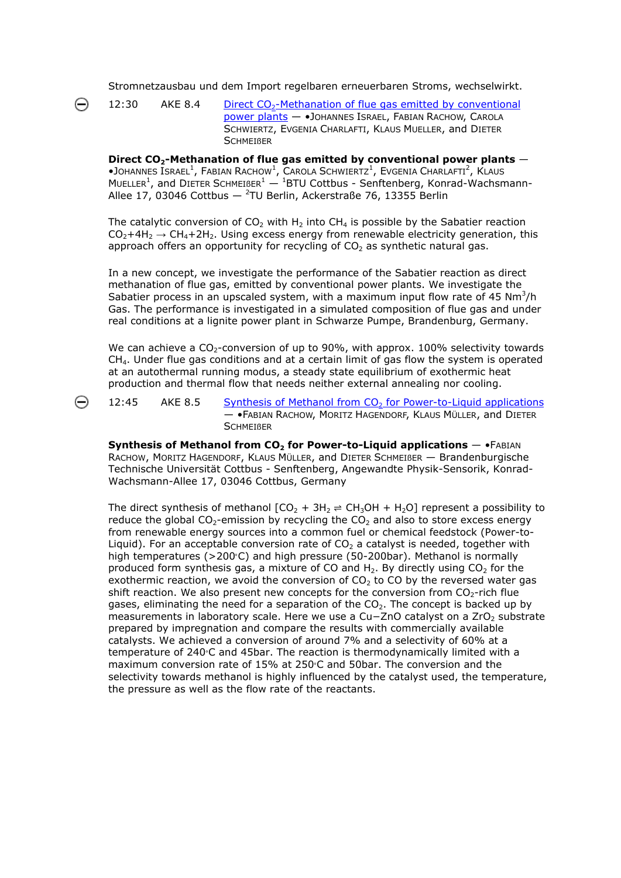Stromnetzausbau und dem Import regelbaren erneuerbaren Stroms, wechselwirkt.

12:30 AKE 8.4 Direct  $CO<sub>2</sub>$ -Methanation of flue gas emitted by conventional [power plants](http://www.dpg-verhandlungen.de/year/2017/conference/muenster/part/ake/session/8/contribution/4) — •JOHANNES ISRAEL, FABIAN RACHOW, CAROLA SCHWIERTZ, EVGENIA CHARLAFTI, KLAUS MUELLER, and DIETER **SCHMEIBER** 

**Direct CO2-Methanation of flue gas emitted by conventional power plants** —  $\bullet$ Johannes Israel<sup>1</sup>, Fabian Rachow<sup>1</sup>, Carola Schwiertz<sup>1</sup>, Evgenia Charlafti<sup>2</sup>, Klaus MUELLER<sup>1</sup>, and DIETER SCHMEIBER<sup>1</sup>  $-$  <sup>1</sup>BTU Cottbus - Senftenberg, Konrad-Wachsmann-Allee 17, 03046 Cottbus  $-$  <sup>2</sup>TU Berlin, Ackerstraße 76, 13355 Berlin

The catalytic conversion of  $CO<sub>2</sub>$  with H<sub>2</sub> into CH<sub>4</sub> is possible by the Sabatier reaction  $CO<sub>2</sub>+4H<sub>2</sub> \rightarrow CH<sub>4</sub>+2H<sub>2</sub>$ . Using excess energy from renewable electricity generation, this approach offers an opportunity for recycling of  $CO<sub>2</sub>$  as synthetic natural gas.

In a new concept, we investigate the performance of the Sabatier reaction as direct methanation of flue gas, emitted by conventional power plants. We investigate the Sabatier process in an upscaled system, with a maximum input flow rate of 45  $Nm<sup>3</sup>/h$ Gas. The performance is investigated in a simulated composition of flue gas and under real conditions at a lignite power plant in Schwarze Pumpe, Brandenburg, Germany.

We can achieve a  $CO<sub>2</sub>$ -conversion of up to 90%, with approx. 100% selectivity towards  $CH<sub>4</sub>$ . Under flue gas conditions and at a certain limit of gas flow the system is operated at an autothermal running modus, a steady state equilibrium of exothermic heat production and thermal flow that needs neither external annealing nor cooling.

⊖

12:45 AKE 8.5 [Synthesis of Methanol from](http://www.dpg-verhandlungen.de/year/2017/conference/muenster/part/ake/session/8/contribution/5) CO<sub>2</sub> for Power-to-Liquid applications — •FABIAN RACHOW, MORITZ HAGENDORF, KLAUS MÜLLER, and DIETER **SCHMEIBER** 

**Synthesis of Methanol from** *CO***2 for Power-to-Liquid applications** — •FABIAN RACHOW, MORITZ HAGENDORF, KLAUS MÜLLER, and DIETER SCHMEIßER — Brandenburgische Technische Universität Cottbus - Senftenberg, Angewandte Physik-Sensorik, Konrad-Wachsmann-Allee 17, 03046 Cottbus, Germany

The direct synthesis of methanol  $[CO_2 + 3H_2 \rightleftharpoons CH_3OH + H_2O]$  represent a possibility to reduce the global *CO*<sub>2</sub>-emission by recycling the *CO*<sub>2</sub> and also to store excess energy from renewable energy sources into a common fuel or chemical feedstock (Power-to-Liquid). For an acceptable conversion rate of *CO*<sub>2</sub> a catalyst is needed, together with high temperatures ( $>200°C$ ) and high pressure (50-200bar). Methanol is normally produced form synthesis gas, a mixture of *CO* and *H*2. By directly using *CO*2 for the exothermic reaction, we avoid the conversion of *CO*<sub>2</sub> to *CO* by the reversed water gas shift reaction. We also present new concepts for the conversion from *CO*<sub>2</sub>-rich flue gases, eliminating the need for a separation of the *CO*2. The concept is backed up by measurements in laboratory scale. Here we use a *Cu−ZnO* catalyst on a *ZrO*<sub>2</sub> substrate prepared by impregnation and compare the results with commercially available catalysts. We achieved a conversion of around 7% and a selectivity of 60% at a temperature of 240°C and 45bar. The reaction is thermodynamically limited with a maximum conversion rate of 15% at 250°C and 50bar. The conversion and the selectivity towards methanol is highly influenced by the catalyst used, the temperature, the pressure as well as the flow rate of the reactants.

⊝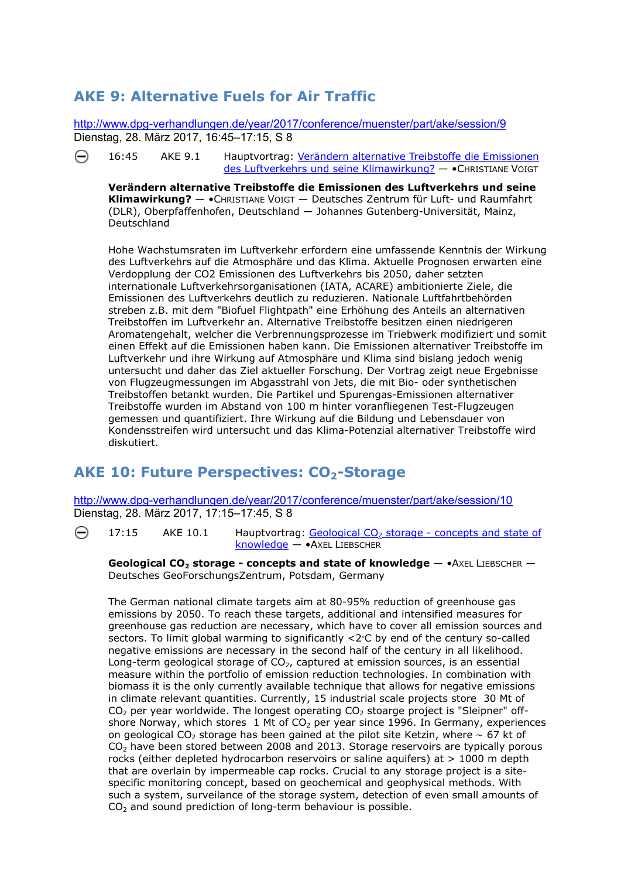# <span id="page-10-0"></span>**AKE 9: Alternative Fuels for Air Traffic**

<http://www.dpg-verhandlungen.de/year/2017/conference/muenster/part/ake/session/9> [Die](http://www.dpg-verhandlungen.de/year/2017/conference/muenster/part/ake/session/9/contribution/1)nstag, 28. März 2017, 16:45–17:15, S 8

⊝ 16:45 AKE 9.1 Hauptvortrag: [Verändern alternative Treibstoffe die Emissionen](http://www.dpg-verhandlungen.de/year/2017/conference/muenster/part/ake/session/9/contribution/1)  [des Luftverkehrs und seine Klimawirkung?](http://www.dpg-verhandlungen.de/year/2017/conference/muenster/part/ake/session/9/contribution/1) — •CHRISTIANE VOIGT

**Verändern alternative Treibstoffe die Emissionen des Luftverkehrs und seine Klimawirkung?** — •CHRISTIANE VOIGT — Deutsches Zentrum für Luft- und Raumfahrt (DLR), Oberpfaffenhofen, Deutschland — Johannes Gutenberg-Universität, Mainz, Deutschland

Hohe Wachstumsraten im Luftverkehr erfordern eine umfassende Kenntnis der Wirkung des Luftverkehrs auf die Atmosphäre und das Klima. Aktuelle Prognosen erwarten eine Verdopplung der CO2 Emissionen des Luftverkehrs bis 2050, daher setzten internationale Luftverkehrsorganisationen (IATA, ACARE) ambitionierte Ziele, die Emissionen des Luftverkehrs deutlich zu reduzieren. Nationale Luftfahrtbehörden streben z.B. mit dem "Biofuel Flightpath" eine Erhöhung des Anteils an alternativen Treibstoffen im Luftverkehr an. Alternative Treibstoffe besitzen einen niedrigeren Aromatengehalt, welcher die Verbrennungsprozesse im Triebwerk modifiziert und somit einen Effekt auf die Emissionen haben kann. Die Emissionen alternativer Treibstoffe im Luftverkehr und ihre Wirkung auf Atmosphäre und Klima sind bislang jedoch wenig untersucht und daher das Ziel aktueller Forschung. Der Vortrag zeigt neue Ergebnisse von Flugzeugmessungen im Abgasstrahl von Jets, die mit Bio- oder synthetischen Treibstoffen betankt wurden. Die Partikel und Spurengas-Emissionen alternativer Treibstoffe wurden im Abstand von 100 m hinter voranfliegenen Test-Flugzeugen gemessen und quantifiziert. Ihre Wirkung auf die Bildung und Lebensdauer von Kondensstreifen wird untersucht und das Klima-Potenzial alternativer Treibstoffe wird diskutiert.

## AKE 10: Future Perspectives: CO<sub>2</sub>-Storage

<http://www.dpg-verhandlungen.de/year/2017/conference/muenster/part/ake/session/10> [Die](http://www.dpg-verhandlungen.de/year/2017/conference/muenster/part/ake/session/10/contribution/1)nstag, 28. März 2017, 17:15–17:45, S 8

⊝ 17:15 AKE  $10.1$  Hauptvortrag: Geological CO<sub>2</sub> storage - concepts and state of [knowledge](http://www.dpg-verhandlungen.de/year/2017/conference/muenster/part/ake/session/10/contribution/1) — •AXEL LIEBSCHER

**Geological CO2 storage - concepts and state of knowledge** — •AXEL LIEBSCHER — Deutsches GeoForschungsZentrum, Potsdam, Germany

The German national climate targets aim at 80-95% reduction of greenhouse gas emissions by 2050. To reach these targets, additional and intensified measures for greenhouse gas reduction are necessary, which have to cover all emission sources and sectors. To limit global warming to significantly  $\langle 2 \cdot C \rangle$  by end of the century so-called negative emissions are necessary in the second half of the century in all likelihood. Long-term geological storage of  $CO<sub>2</sub>$ , captured at emission sources, is an essential measure within the portfolio of emission reduction technologies. In combination with biomass it is the only currently available technique that allows for negative emissions in climate relevant quantities. Currently, 15 industrial scale projects store 30 Mt of  $CO<sub>2</sub>$  per year worldwide. The longest operating  $CO<sub>2</sub>$  stoarge project is "Sleipner" offshore Norway, which stores 1 Mt of  $CO<sub>2</sub>$  per year since 1996. In Germany, experiences on geological CO<sub>2</sub> storage has been gained at the pilot site Ketzin, where  $\sim$  67 kt of  $CO<sub>2</sub>$  have been stored between 2008 and 2013. Storage reservoirs are typically porous rocks (either depleted hydrocarbon reservoirs or saline aquifers) at > 1000 m depth that are overlain by impermeable cap rocks. Crucial to any storage project is a sitespecific monitoring concept, based on geochemical and geophysical methods. With such a system, surveilance of the storage system, detection of even small amounts of  $CO<sub>2</sub>$  and sound prediction of long-term behaviour is possible.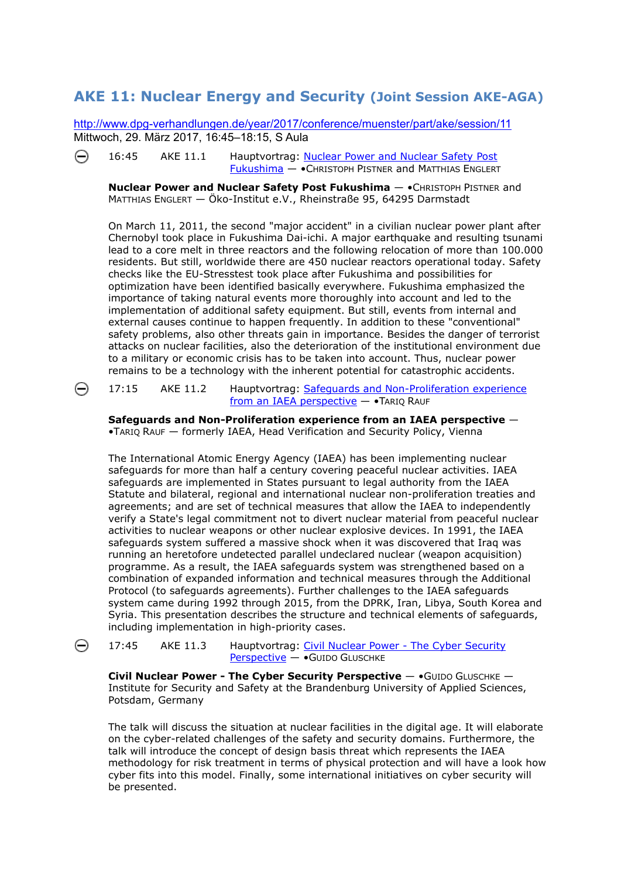#### <span id="page-11-0"></span>**AKE 11: Nuclear Energy and Security (Joint Session AKE-AGA)**

<http://www.dpg-verhandlungen.de/year/2017/conference/muenster/part/ake/session/11> [Mitt](http://www.dpg-verhandlungen.de/year/2017/conference/muenster/part/ake/session/11/contribution/1)woch, 29. März 2017, 16:45–18:15, S Aula

⊝ 16:45 AKE 11.1 Hauptvortrag: [Nuclear Power and Nuclear Safety Post](http://www.dpg-verhandlungen.de/year/2017/conference/muenster/part/ake/session/11/contribution/1)  [Fukushima](http://www.dpg-verhandlungen.de/year/2017/conference/muenster/part/ake/session/11/contribution/1) — •CHRISTOPH PISTNER and MATTHIAS ENGLERT

**Nuclear Power and Nuclear Safety Post Fukushima** — •CHRISTOPH PISTNER and MATTHIAS ENGLERT — Öko-Institut e.V., Rheinstraße 95, 64295 Darmstadt

On March 11, 2011, the second "major accident" in a civilian nuclear power plant after Chernobyl took place in Fukushima Dai-ichi. A major earthquake and resulting tsunami lead to a core melt in three reactors and the following relocation of more than 100.000 residents. But still, worldwide there are 450 nuclear reactors operational today. Safety checks like the EU-Stresstest took place after Fukushima and possibilities for optimization have been identified basically everywhere. Fukushima emphasized the importance of taking natural events more thoroughly into account and led to the implementation of additional safety equipment. But still, events from internal and external causes continue to happen frequently. In addition to these "conventional" safety problems, also other threats gain in importance. Besides the danger of terrorist attacks on nuclear facilities, also the deterioration of the institutional environment due to a military or economic crisis has to be taken into account. Thus, nuclear power remains to be a technology with the inherent potential for catastrophic accidents.

17:15 AKE 11.2 Hauptvortrag: [Safeguards and Non-Proliferation experience](http://www.dpg-verhandlungen.de/year/2017/conference/muenster/part/ake/session/11/contribution/2)  [from an IAEA perspective](http://www.dpg-verhandlungen.de/year/2017/conference/muenster/part/ake/session/11/contribution/2) - TARIQ RAUF

**Safeguards and Non-Proliferation experience from an IAEA perspective** — •TARIQ RAUF — formerly IAEA, Head Verification and Security Policy, Vienna

The International Atomic Energy Agency (IAEA) has been implementing nuclear safeguards for more than half a century covering peaceful nuclear activities. IAEA safeguards are implemented in States pursuant to legal authority from the IAEA Statute and bilateral, regional and international nuclear non-proliferation treaties and agreements; and are set of technical measures that allow the IAEA to independently verify a State's legal commitment not to divert nuclear material from peaceful nuclear activities to nuclear weapons or other nuclear explosive devices. In 1991, the IAEA safeguards system suffered a massive shock when it was discovered that Iraq was running an heretofore undetected parallel undeclared nuclear (weapon acquisition) programme. As a result, the IAEA safeguards system was strengthened based on a combination of expanded information and technical measures through the Additional Protocol (to safeguards agreements). Further challenges to the IAEA safeguards system came during 1992 through 2015, from the DPRK, Iran, Libya, South Korea and Syria. This presentation describes the structure and technical elements of safegu ards, including implementation in high-priority cases.

⊝

⊝

17:45 AKE 11.3 Hauptvortrag: [Civil Nuclear Power - The Cyber Security](http://www.dpg-verhandlungen.de/year/2017/conference/muenster/part/ake/session/11/contribution/3)  [Perspective](http://www.dpg-verhandlungen.de/year/2017/conference/muenster/part/ake/session/11/contribution/3) — •GUIDO GLUSCHKE

**Civil Nuclear Power - The Cyber Security Perspective** — •GUIDO GLUSCHKE — Institute for Security and Safety at the Brandenburg University of Applied Sciences, Potsdam, Germany

The talk will discuss the situation at nuclear facilities in the digital age. It will elaborate on the cyber-related challenges of the safety and security domains. Furthermore, the talk will introduce the concept of design basis threat which represents the IAEA methodology for risk treatment in terms of physical protection and will have a look how cyber fits into this model. Finally, some international initiatives on cyber security will be presented.